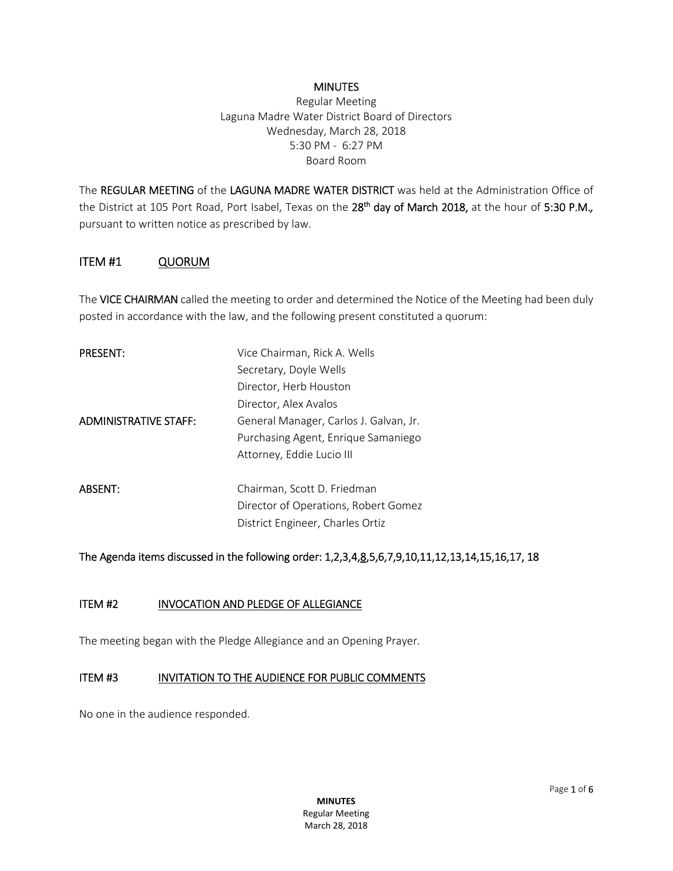#### **MINUTES**

Regular Meeting Laguna Madre Water District Board of Directors Wednesday, March 28, 2018 5:30 PM - 6:27 PM Board Room

The REGULAR MEETING of the LAGUNA MADRE WATER DISTRICT was held at the Administration Office of the District at 105 Port Road, Port Isabel, Texas on the 28<sup>th</sup> day of March 2018, at the hour of 5:30 P.M., pursuant to written notice as prescribed by law.

#### ITEM #1 QUORUM

TheVICE CHAIRMAN called the meeting to order and determined the Notice of the Meeting had been duly posted in accordance with the law, and the following present constituted a quorum:

| <b>PRESENT:</b>              | Vice Chairman, Rick A. Wells           |
|------------------------------|----------------------------------------|
|                              | Secretary, Doyle Wells                 |
|                              | Director, Herb Houston                 |
|                              | Director, Alex Avalos                  |
| <b>ADMINISTRATIVE STAFF:</b> | General Manager, Carlos J. Galvan, Jr. |
|                              | Purchasing Agent, Enrique Samaniego    |
|                              | Attorney, Eddie Lucio III              |
|                              |                                        |
| <b>ABSENT:</b>               | Chairman, Scott D. Friedman            |
|                              | Director of Operations, Robert Gomez   |
|                              | District Engineer, Charles Ortiz       |

The Agenda items discussed in the following order: 1,2,3,4,8,5,6,7,9,10,11,12,13,14,15,16,17, 18

#### ITEM #2 INVOCATION AND PLEDGE OF ALLEGIANCE

The meeting began with the Pledge Allegiance and an Opening Prayer.

#### ITEM #3 INVITATION TO THE AUDIENCE FOR PUBLIC COMMENTS

No one in the audience responded.

**MINUTES** Regular Meeting March 28, 2018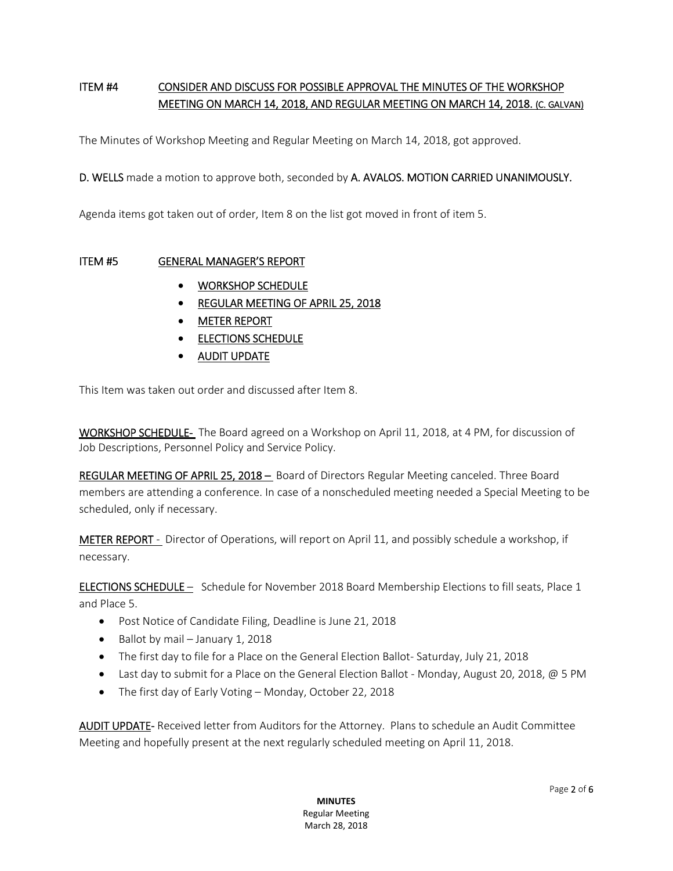# ITEM #4 CONSIDER AND DISCUSS FOR POSSIBLE APPROVAL THE MINUTES OF THE WORKSHOP MEETING ON MARCH 14, 2018, AND REGULAR MEETING ON MARCH 14, 2018. (C. GALVAN)

The Minutes of Workshop Meeting and Regular Meeting on March 14, 2018, got approved.

#### D. WELLS made a motion to approve both, seconded by A. AVALOS. MOTION CARRIED UNANIMOUSLY.

Agenda items got taken out of order, Item 8 on the list got moved in front of item 5.

#### ITEM #5 GENERAL MANAGER'S REPORT

- WORKSHOP SCHEDULE
- **REGULAR MEETING OF APRIL 25, 2018**
- METER REPORT
- **ELECTIONS SCHEDULE**
- AUDIT UPDATE

This Item was taken out order and discussed after Item 8.

WORKSHOP SCHEDULE- The Board agreed on a Workshop on April 11, 2018, at 4 PM, for discussion of Job Descriptions, Personnel Policy and Service Policy.

REGULAR MEETING OF APRIL 25, 2018 – Board of Directors Regular Meeting canceled. Three Board members are attending a conference. In case of a nonscheduled meeting needed a Special Meeting to be scheduled, only if necessary.

**METER REPORT** - Director of Operations, will report on April 11, and possibly schedule a workshop, if necessary.

ELECTIONS SCHEDULE – Schedule for November 2018 Board Membership Elections to fill seats, Place 1 and Place 5.

- Post Notice of Candidate Filing, Deadline is June 21, 2018
- Ballot by mail January 1, 2018
- The first day to file for a Place on the General Election Ballot- Saturday, July 21, 2018
- Last day to submit for a Place on the General Election Ballot Monday, August 20, 2018, @ 5 PM
- The first day of Early Voting Monday, October 22, 2018

AUDIT UPDATE- Received letter from Auditors for the Attorney. Plans to schedule an Audit Committee Meeting and hopefully present at the next regularly scheduled meeting on April 11, 2018.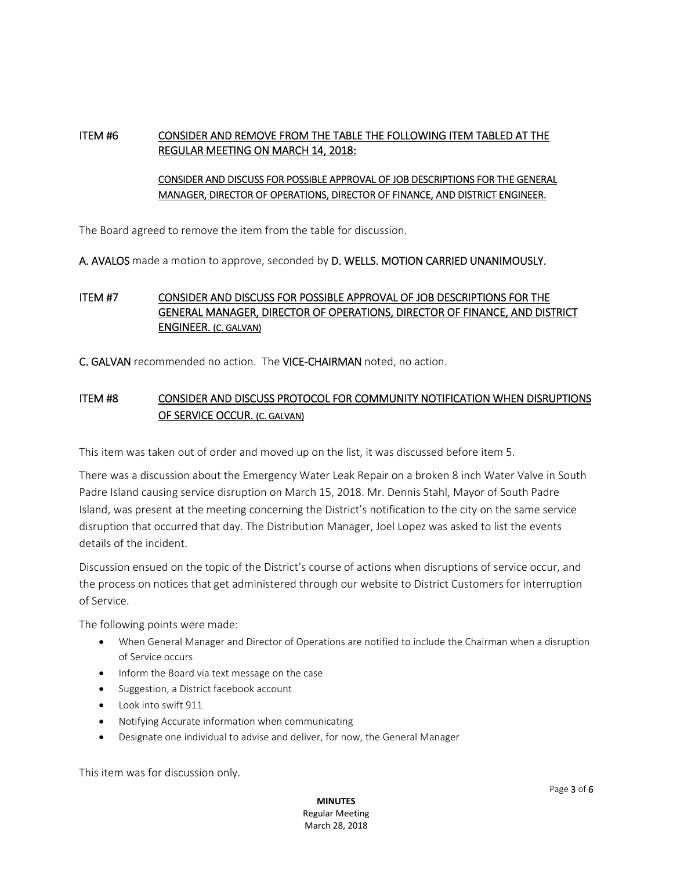## ITEM #6 CONSIDER AND REMOVE FROM THE TABLE THE FOLLOWING ITEM TABLED AT THE REGULAR MEETING ON MARCH 14, 2018:

### CONSIDER AND DISCUSS FOR POSSIBLE APPROVAL OF JOB DESCRIPTIONS FOR THE GENERAL MANAGER, DIRECTOR OF OPERATIONS, DIRECTOR OF FINANCE, AND DISTRICT ENGINEER.

The Board agreed to remove the item from the table for discussion.

A. AVALOS made a motion to approve, seconded by D. WELLS. MOTION CARRIED UNANIMOUSLY.

## ITEM #7 CONSIDER AND DISCUSS FOR POSSIBLE APPROVAL OF JOB DESCRIPTIONS FOR THE GENERAL MANAGER, DIRECTOR OF OPERATIONS, DIRECTOR OF FINANCE, AND DISTRICT ENGINEER. (C. GALVAN)

C. GALVAN recommended no action. The VICE-CHAIRMAN noted, no action.

# ITEM #8 CONSIDER AND DISCUSS PROTOCOL FOR COMMUNITY NOTIFICATION WHEN DISRUPTIONS OF SERVICE OCCUR. (C. GALVAN)

This item was taken out of order and moved up on the list, it was discussed before item 5.

There was a discussion about the Emergency Water Leak Repair on a broken 8 inch Water Valve in South Padre Island causing service disruption on March 15, 2018. Mr. Dennis Stahl, Mayor of South Padre Island, was present at the meeting concerning the District's notification to the city on the same service disruption that occurred that day. The Distribution Manager, Joel Lopez was asked to list the events details of the incident.

Discussion ensued on the topic of the District's course of actions when disruptions of service occur, and the process on notices that get administered through our website to District Customers for interruption of Service.

The following points were made:

- When General Manager and Director of Operations are notified to include the Chairman when a disruption of Service occurs
- Inform the Board via text message on the case
- Suggestion, a District facebook account
- Look into swift 911
- Notifying Accurate information when communicating
- Designate one individual to advise and deliver, for now, the General Manager

This item was for discussion only.

**MINUTES** Regular Meeting March 28, 2018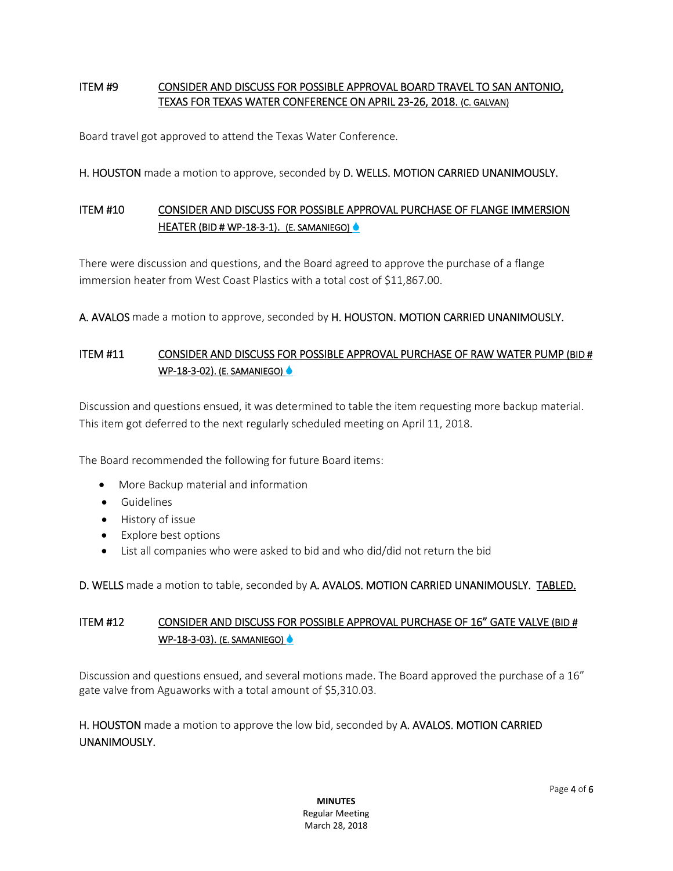## ITEM #9 CONSIDER AND DISCUSS FOR POSSIBLE APPROVAL BOARD TRAVEL TO SAN ANTONIO, TEXAS FOR TEXAS WATER CONFERENCE ON APRIL 23-26, 2018. (C. GALVAN)

Board travel got approved to attend the Texas Water Conference.

H. HOUSTON made a motion to approve, seconded by D. WELLS. MOTION CARRIED UNANIMOUSLY.

# ITEM #10 CONSIDER AND DISCUSS FOR POSSIBLE APPROVAL PURCHASE OF FLANGE IMMERSION HEATER (BID # WP-18-3-1). (E. SAMANIEGO)

There were discussion and questions, and the Board agreed to approve the purchase of a flange immersion heater from West Coast Plastics with a total cost of \$11,867.00.

A. AVALOS made a motion to approve, seconded by H. HOUSTON. MOTION CARRIED UNANIMOUSLY.

# ITEM #11 CONSIDER AND DISCUSS FOR POSSIBLE APPROVAL PURCHASE OF RAW WATER PUMP (BID # WP-18-3-02). (E. SAMANIEGO)

Discussion and questions ensued, it was determined to table the item requesting more backup material. This item got deferred to the next regularly scheduled meeting on April 11, 2018.

The Board recommended the following for future Board items:

- More Backup material and information
- **•** Guidelines
- History of issue
- Explore best options
- List all companies who were asked to bid and who did/did not return the bid

D. WELLS made a motion to table, seconded by A. AVALOS. MOTION CARRIED UNANIMOUSLY. TABLED.

## ITEM #12 CONSIDER AND DISCUSS FOR POSSIBLE APPROVAL PURCHASE OF 16" GATE VALVE (BID # WP-18-3-03). (E. SAMANIEGO)

Discussion and questions ensued, and several motions made. The Board approved the purchase of a 16" gate valve from Aguaworks with a total amount of \$5,310.03.

H. HOUSTON made a motion to approve the low bid, seconded by A. AVALOS. MOTION CARRIED UNANIMOUSLY.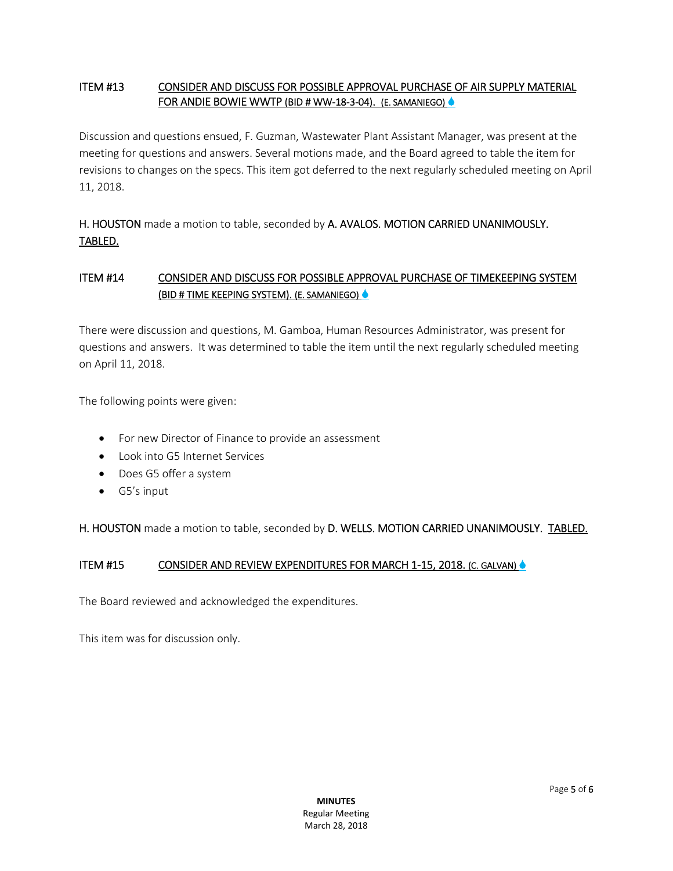## ITEM #13 CONSIDER AND DISCUSS FOR POSSIBLE APPROVAL PURCHASE OF AIR SUPPLY MATERIAL FOR ANDIE BOWIE WWTP (BID # WW-18-3-04). (E. SAMANIEGO) ♦

Discussion and questions ensued, F. Guzman, Wastewater Plant Assistant Manager, was present at the meeting for questions and answers. Several motions made, and the Board agreed to table the item for revisions to changes on the specs. This item got deferred to the next regularly scheduled meeting on April 11, 2018.

H. HOUSTON made a motion to table, seconded by A. AVALOS. MOTION CARRIED UNANIMOUSLY. TABLED.

# ITEM #14 CONSIDER AND DISCUSS FOR POSSIBLE APPROVAL PURCHASE OF TIMEKEEPING SYSTEM (BID # TIME KEEPING SYSTEM). (E. SAMANIEGO)

There were discussion and questions, M. Gamboa, Human Resources Administrator, was present for questions and answers. It was determined to table the item until the next regularly scheduled meeting on April 11, 2018.

The following points were given:

- For new Director of Finance to provide an assessment
- Look into G5 Internet Services
- Does G5 offer a system
- G5's input

H. HOUSTON made a motion to table, seconded by D. WELLS. MOTION CARRIED UNANIMOUSLY. TABLED.

## ITEM #15 CONSIDER AND REVIEW EXPENDITURES FOR MARCH 1-15, 2018. (C. GALVAN)

The Board reviewed and acknowledged the expenditures.

This item was for discussion only.